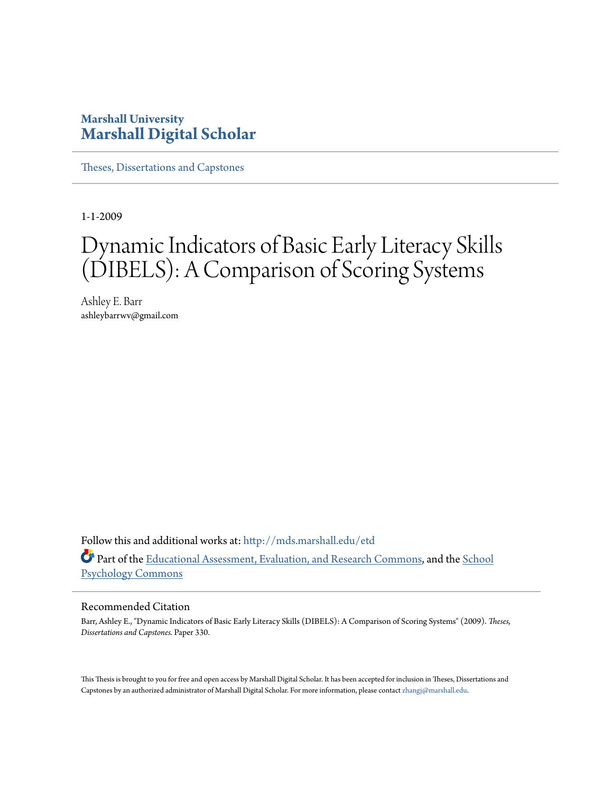## **Marshall University [Marshall Digital Scholar](http://mds.marshall.edu?utm_source=mds.marshall.edu%2Fetd%2F330&utm_medium=PDF&utm_campaign=PDFCoverPages)**

[Theses, Dissertations and Capstones](http://mds.marshall.edu/etd?utm_source=mds.marshall.edu%2Fetd%2F330&utm_medium=PDF&utm_campaign=PDFCoverPages)

1-1-2009

# Dynamic Indicators of Basic Early Literacy Skills (DIBELS): A Comparison of Scoring Systems

Ashley E. Barr ashleybarrwv@gmail.com

Follow this and additional works at: [http://mds.marshall.edu/etd](http://mds.marshall.edu/etd?utm_source=mds.marshall.edu%2Fetd%2F330&utm_medium=PDF&utm_campaign=PDFCoverPages) Part of the [Educational Assessment, Evaluation, and Research Commons,](http://network.bepress.com/hgg/discipline/796?utm_source=mds.marshall.edu%2Fetd%2F330&utm_medium=PDF&utm_campaign=PDFCoverPages) and the [School](http://network.bepress.com/hgg/discipline/1072?utm_source=mds.marshall.edu%2Fetd%2F330&utm_medium=PDF&utm_campaign=PDFCoverPages) [Psychology Commons](http://network.bepress.com/hgg/discipline/1072?utm_source=mds.marshall.edu%2Fetd%2F330&utm_medium=PDF&utm_campaign=PDFCoverPages)

#### Recommended Citation

Barr, Ashley E., "Dynamic Indicators of Basic Early Literacy Skills (DIBELS): A Comparison of Scoring Systems" (2009). *Theses, Dissertations and Capstones.* Paper 330.

This Thesis is brought to you for free and open access by Marshall Digital Scholar. It has been accepted for inclusion in Theses, Dissertations and Capstones by an authorized administrator of Marshall Digital Scholar. For more information, please contact [zhangj@marshall.edu.](mailto:zhangj@marshall.edu)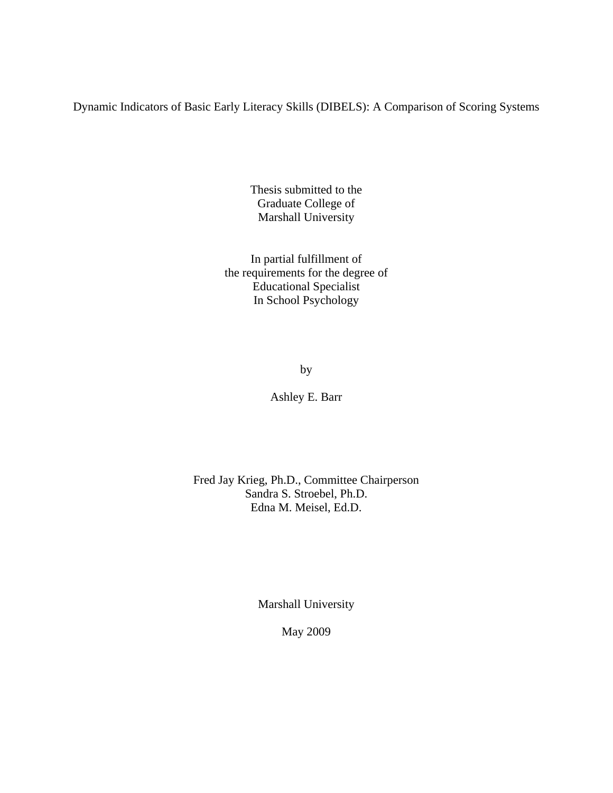Dynamic Indicators of Basic Early Literacy Skills (DIBELS): A Comparison of Scoring Systems

Thesis submitted to the Graduate College of Marshall University

In partial fulfillment of the requirements for the degree of Educational Specialist In School Psychology

by

Ashley E. Barr

Fred Jay Krieg, Ph.D., Committee Chairperson Sandra S. Stroebel, Ph.D. Edna M. Meisel, Ed.D.

Marshall University

May 2009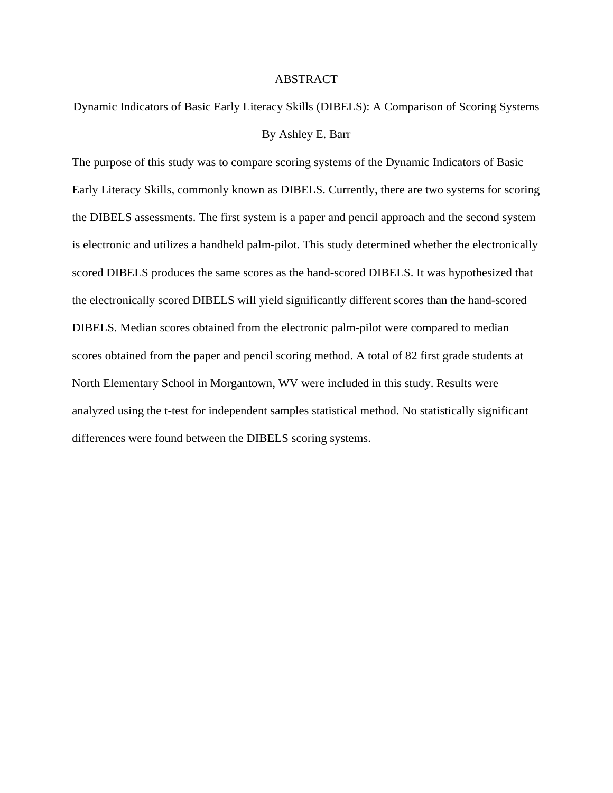#### ABSTRACT

Dynamic Indicators of Basic Early Literacy Skills (DIBELS): A Comparison of Scoring Systems By Ashley E. Barr

The purpose of this study was to compare scoring systems of the Dynamic Indicators of Basic Early Literacy Skills, commonly known as DIBELS. Currently, there are two systems for scoring the DIBELS assessments. The first system is a paper and pencil approach and the second system is electronic and utilizes a handheld palm-pilot. This study determined whether the electronically scored DIBELS produces the same scores as the hand-scored DIBELS. It was hypothesized that the electronically scored DIBELS will yield significantly different scores than the hand-scored DIBELS. Median scores obtained from the electronic palm-pilot were compared to median scores obtained from the paper and pencil scoring method. A total of 82 first grade students at North Elementary School in Morgantown, WV were included in this study. Results were analyzed using the t-test for independent samples statistical method. No statistically significant differences were found between the DIBELS scoring systems.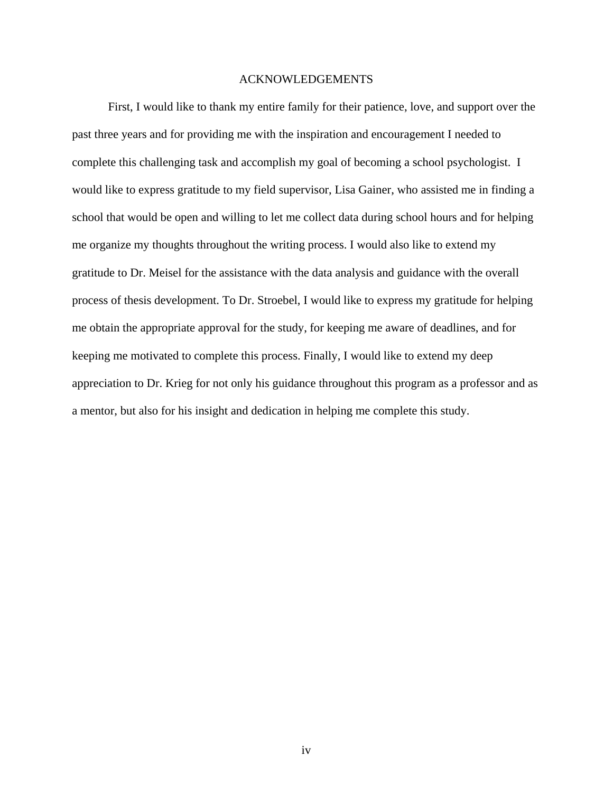#### ACKNOWLEDGEMENTS

 First, I would like to thank my entire family for their patience, love, and support over the past three years and for providing me with the inspiration and encouragement I needed to complete this challenging task and accomplish my goal of becoming a school psychologist. I would like to express gratitude to my field supervisor, Lisa Gainer, who assisted me in finding a school that would be open and willing to let me collect data during school hours and for helping me organize my thoughts throughout the writing process. I would also like to extend my gratitude to Dr. Meisel for the assistance with the data analysis and guidance with the overall process of thesis development. To Dr. Stroebel, I would like to express my gratitude for helping me obtain the appropriate approval for the study, for keeping me aware of deadlines, and for keeping me motivated to complete this process. Finally, I would like to extend my deep appreciation to Dr. Krieg for not only his guidance throughout this program as a professor and as a mentor, but also for his insight and dedication in helping me complete this study.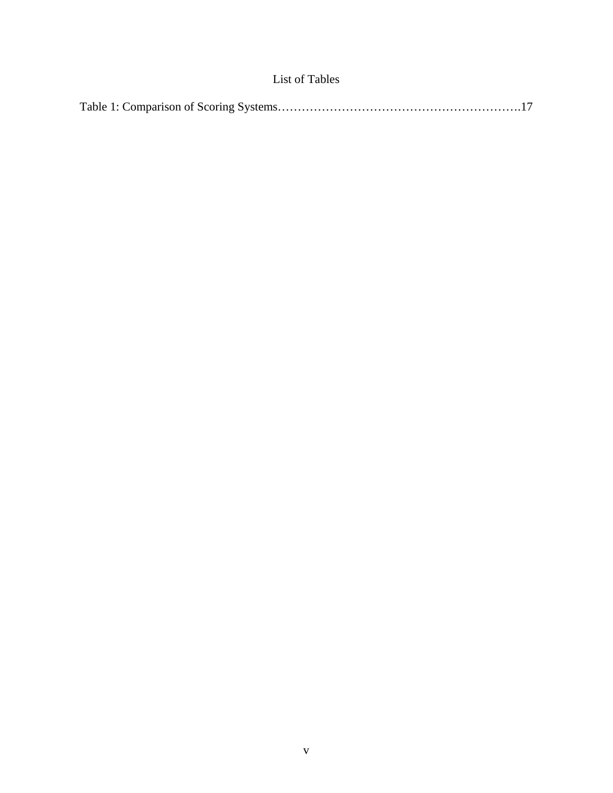### List of Tables

|--|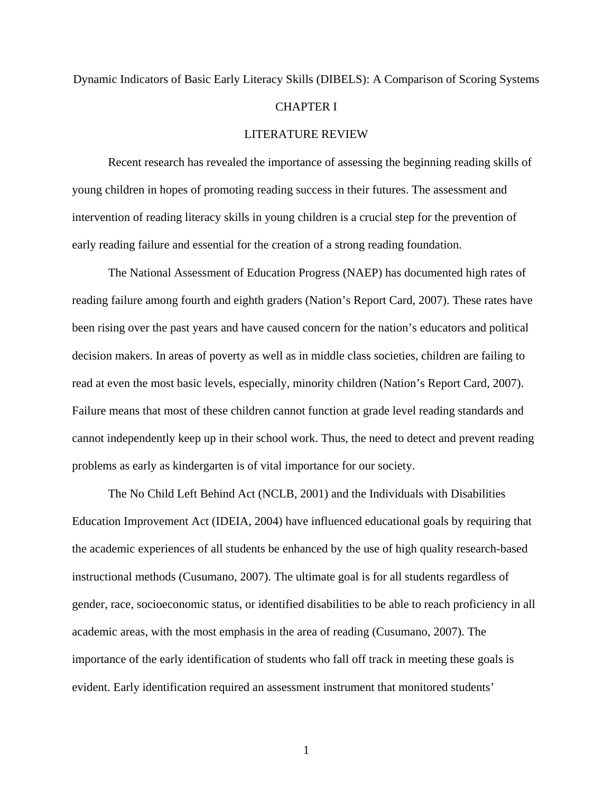## Dynamic Indicators of Basic Early Literacy Skills (DIBELS): A Comparison of Scoring Systems CHAPTER I LITERATURE REVIEW

Recent research has revealed the importance of assessing the beginning reading skills of young children in hopes of promoting reading success in their futures. The assessment and intervention of reading literacy skills in young children is a crucial step for the prevention of early reading failure and essential for the creation of a strong reading foundation.

 The National Assessment of Education Progress (NAEP) has documented high rates of reading failure among fourth and eighth graders (Nation's Report Card, 2007). These rates have been rising over the past years and have caused concern for the nation's educators and political decision makers. In areas of poverty as well as in middle class societies, children are failing to read at even the most basic levels, especially, minority children (Nation's Report Card, 2007). Failure means that most of these children cannot function at grade level reading standards and cannot independently keep up in their school work. Thus, the need to detect and prevent reading problems as early as kindergarten is of vital importance for our society.

 The No Child Left Behind Act (NCLB, 2001) and the Individuals with Disabilities Education Improvement Act (IDEIA, 2004) have influenced educational goals by requiring that the academic experiences of all students be enhanced by the use of high quality research-based instructional methods (Cusumano, 2007). The ultimate goal is for all students regardless of gender, race, socioeconomic status, or identified disabilities to be able to reach proficiency in all academic areas, with the most emphasis in the area of reading (Cusumano, 2007). The importance of the early identification of students who fall off track in meeting these goals is evident. Early identification required an assessment instrument that monitored students'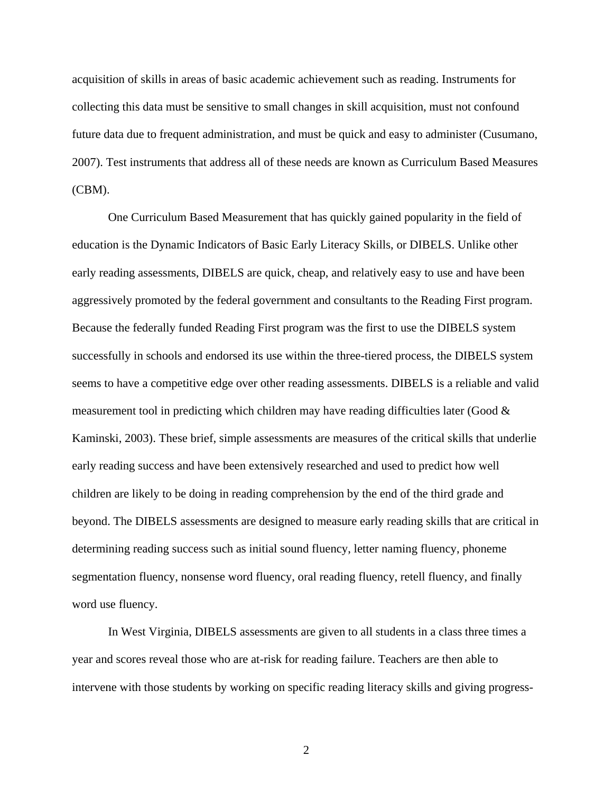acquisition of skills in areas of basic academic achievement such as reading. Instruments for collecting this data must be sensitive to small changes in skill acquisition, must not confound future data due to frequent administration, and must be quick and easy to administer (Cusumano, 2007). Test instruments that address all of these needs are known as Curriculum Based Measures (CBM).

 One Curriculum Based Measurement that has quickly gained popularity in the field of education is the Dynamic Indicators of Basic Early Literacy Skills, or DIBELS. Unlike other early reading assessments, DIBELS are quick, cheap, and relatively easy to use and have been aggressively promoted by the federal government and consultants to the Reading First program. Because the federally funded Reading First program was the first to use the DIBELS system successfully in schools and endorsed its use within the three-tiered process, the DIBELS system seems to have a competitive edge over other reading assessments. DIBELS is a reliable and valid measurement tool in predicting which children may have reading difficulties later (Good & Kaminski, 2003). These brief, simple assessments are measures of the critical skills that underlie early reading success and have been extensively researched and used to predict how well children are likely to be doing in reading comprehension by the end of the third grade and beyond. The DIBELS assessments are designed to measure early reading skills that are critical in determining reading success such as initial sound fluency, letter naming fluency, phoneme segmentation fluency, nonsense word fluency, oral reading fluency, retell fluency, and finally word use fluency.

 In West Virginia, DIBELS assessments are given to all students in a class three times a year and scores reveal those who are at-risk for reading failure. Teachers are then able to intervene with those students by working on specific reading literacy skills and giving progress-

2 a set of  $\sim$  2 a set of  $\sim$  2 a set of  $\sim$  2 a set of  $\sim$  3 a set of  $\sim$  3 a set of  $\sim$  3 a set of  $\sim$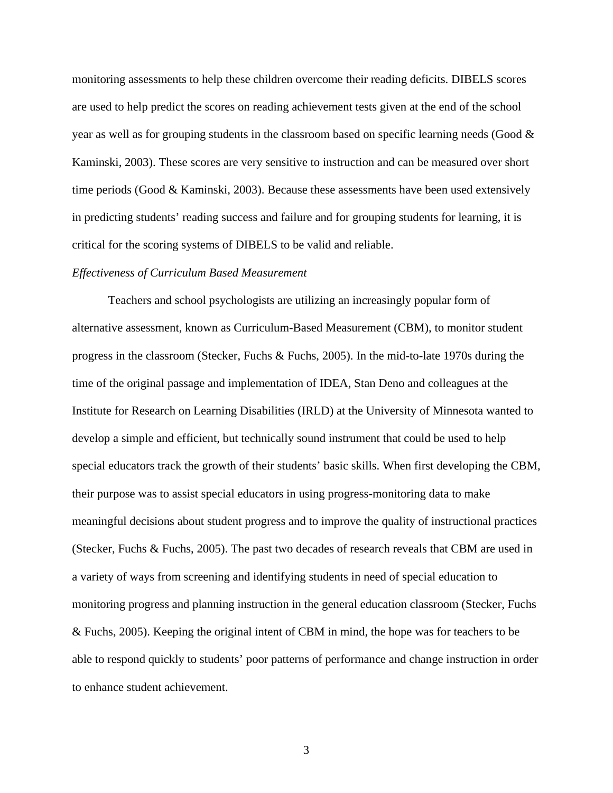monitoring assessments to help these children overcome their reading deficits. DIBELS scores are used to help predict the scores on reading achievement tests given at the end of the school year as well as for grouping students in the classroom based on specific learning needs (Good & Kaminski, 2003). These scores are very sensitive to instruction and can be measured over short time periods (Good & Kaminski, 2003). Because these assessments have been used extensively in predicting students' reading success and failure and for grouping students for learning, it is critical for the scoring systems of DIBELS to be valid and reliable.

#### *Effectiveness of Curriculum Based Measurement*

 Teachers and school psychologists are utilizing an increasingly popular form of alternative assessment, known as Curriculum-Based Measurement (CBM), to monitor student progress in the classroom (Stecker, Fuchs & Fuchs, 2005). In the mid-to-late 1970s during the time of the original passage and implementation of IDEA, Stan Deno and colleagues at the Institute for Research on Learning Disabilities (IRLD) at the University of Minnesota wanted to develop a simple and efficient, but technically sound instrument that could be used to help special educators track the growth of their students' basic skills. When first developing the CBM, their purpose was to assist special educators in using progress-monitoring data to make meaningful decisions about student progress and to improve the quality of instructional practices (Stecker, Fuchs & Fuchs, 2005). The past two decades of research reveals that CBM are used in a variety of ways from screening and identifying students in need of special education to monitoring progress and planning instruction in the general education classroom (Stecker, Fuchs & Fuchs, 2005). Keeping the original intent of CBM in mind, the hope was for teachers to be able to respond quickly to students' poor patterns of performance and change instruction in order to enhance student achievement.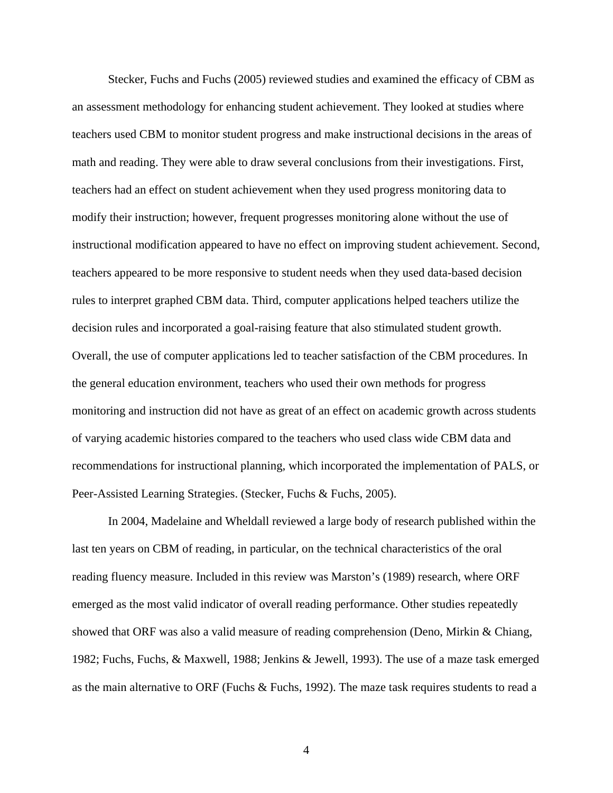Stecker, Fuchs and Fuchs (2005) reviewed studies and examined the efficacy of CBM as an assessment methodology for enhancing student achievement. They looked at studies where teachers used CBM to monitor student progress and make instructional decisions in the areas of math and reading. They were able to draw several conclusions from their investigations. First, teachers had an effect on student achievement when they used progress monitoring data to modify their instruction; however, frequent progresses monitoring alone without the use of instructional modification appeared to have no effect on improving student achievement. Second, teachers appeared to be more responsive to student needs when they used data-based decision rules to interpret graphed CBM data. Third, computer applications helped teachers utilize the decision rules and incorporated a goal-raising feature that also stimulated student growth. Overall, the use of computer applications led to teacher satisfaction of the CBM procedures. In the general education environment, teachers who used their own methods for progress monitoring and instruction did not have as great of an effect on academic growth across students of varying academic histories compared to the teachers who used class wide CBM data and recommendations for instructional planning, which incorporated the implementation of PALS, or Peer-Assisted Learning Strategies. (Stecker, Fuchs & Fuchs, 2005).

 In 2004, Madelaine and Wheldall reviewed a large body of research published within the last ten years on CBM of reading, in particular, on the technical characteristics of the oral reading fluency measure. Included in this review was Marston's (1989) research, where ORF emerged as the most valid indicator of overall reading performance. Other studies repeatedly showed that ORF was also a valid measure of reading comprehension (Deno, Mirkin & Chiang, 1982; Fuchs, Fuchs, & Maxwell, 1988; Jenkins & Jewell, 1993). The use of a maze task emerged as the main alternative to ORF (Fuchs & Fuchs, 1992). The maze task requires students to read a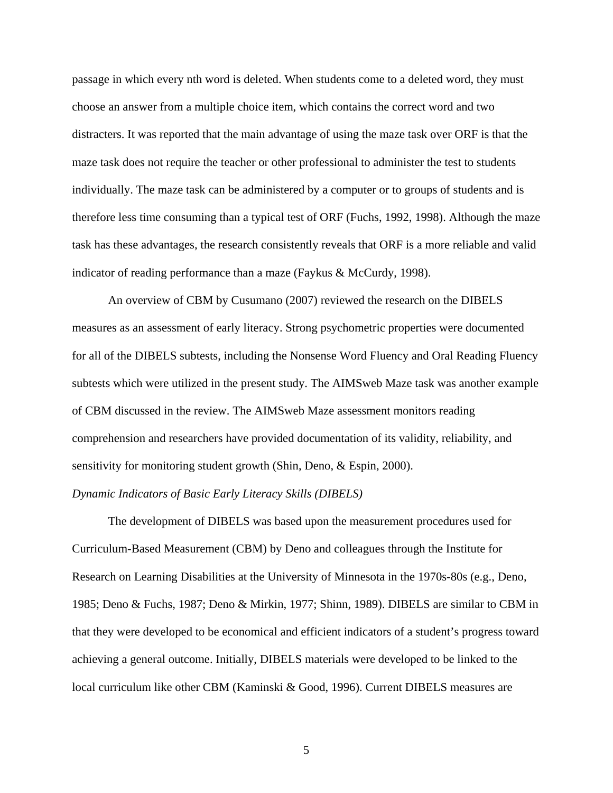passage in which every nth word is deleted. When students come to a deleted word, they must choose an answer from a multiple choice item, which contains the correct word and two distracters. It was reported that the main advantage of using the maze task over ORF is that the maze task does not require the teacher or other professional to administer the test to students individually. The maze task can be administered by a computer or to groups of students and is therefore less time consuming than a typical test of ORF (Fuchs, 1992, 1998). Although the maze task has these advantages, the research consistently reveals that ORF is a more reliable and valid indicator of reading performance than a maze (Faykus & McCurdy, 1998).

 An overview of CBM by Cusumano (2007) reviewed the research on the DIBELS measures as an assessment of early literacy. Strong psychometric properties were documented for all of the DIBELS subtests, including the Nonsense Word Fluency and Oral Reading Fluency subtests which were utilized in the present study. The AIMSweb Maze task was another example of CBM discussed in the review. The AIMSweb Maze assessment monitors reading comprehension and researchers have provided documentation of its validity, reliability, and sensitivity for monitoring student growth (Shin, Deno, & Espin, 2000).

#### *Dynamic Indicators of Basic Early Literacy Skills (DIBELS)*

The development of DIBELS was based upon the measurement procedures used for Curriculum-Based Measurement (CBM) by Deno and colleagues through the Institute for Research on Learning Disabilities at the University of Minnesota in the 1970s-80s (e.g., Deno, 1985; Deno & Fuchs, 1987; Deno & Mirkin, 1977; Shinn, 1989). DIBELS are similar to CBM in that they were developed to be economical and efficient indicators of a student's progress toward achieving a general outcome. Initially, DIBELS materials were developed to be linked to the local curriculum like other CBM (Kaminski & Good, 1996). Current DIBELS measures are

 $5\overline{ }$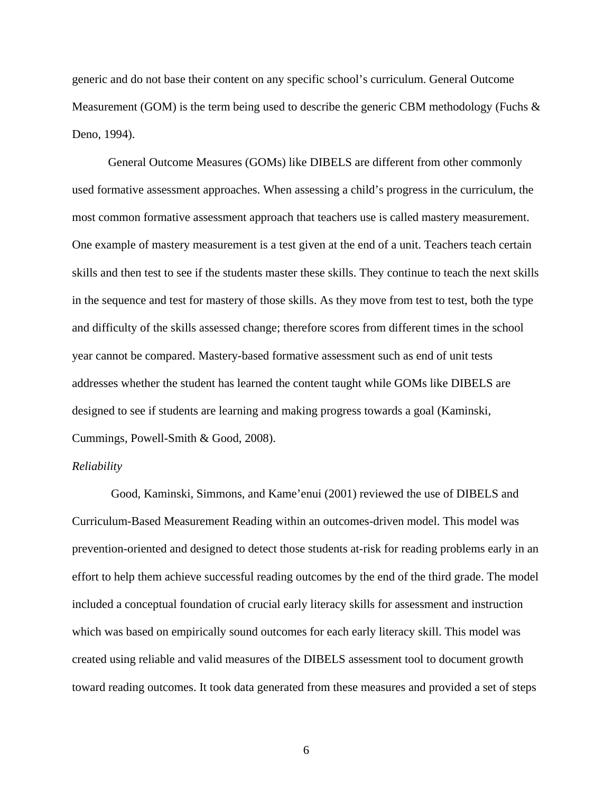generic and do not base their content on any specific school's curriculum. General Outcome Measurement (GOM) is the term being used to describe the generic CBM methodology (Fuchs & Deno, 1994).

 General Outcome Measures (GOMs) like DIBELS are different from other commonly used formative assessment approaches. When assessing a child's progress in the curriculum, the most common formative assessment approach that teachers use is called mastery measurement. One example of mastery measurement is a test given at the end of a unit. Teachers teach certain skills and then test to see if the students master these skills. They continue to teach the next skills in the sequence and test for mastery of those skills. As they move from test to test, both the type and difficulty of the skills assessed change; therefore scores from different times in the school year cannot be compared. Mastery-based formative assessment such as end of unit tests addresses whether the student has learned the content taught while GOMs like DIBELS are designed to see if students are learning and making progress towards a goal (Kaminski, Cummings, Powell-Smith & Good, 2008).

#### *Reliability*

 Good, Kaminski, Simmons, and Kame'enui (2001) reviewed the use of DIBELS and Curriculum-Based Measurement Reading within an outcomes-driven model. This model was prevention-oriented and designed to detect those students at-risk for reading problems early in an effort to help them achieve successful reading outcomes by the end of the third grade. The model included a conceptual foundation of crucial early literacy skills for assessment and instruction which was based on empirically sound outcomes for each early literacy skill. This model was created using reliable and valid measures of the DIBELS assessment tool to document growth toward reading outcomes. It took data generated from these measures and provided a set of steps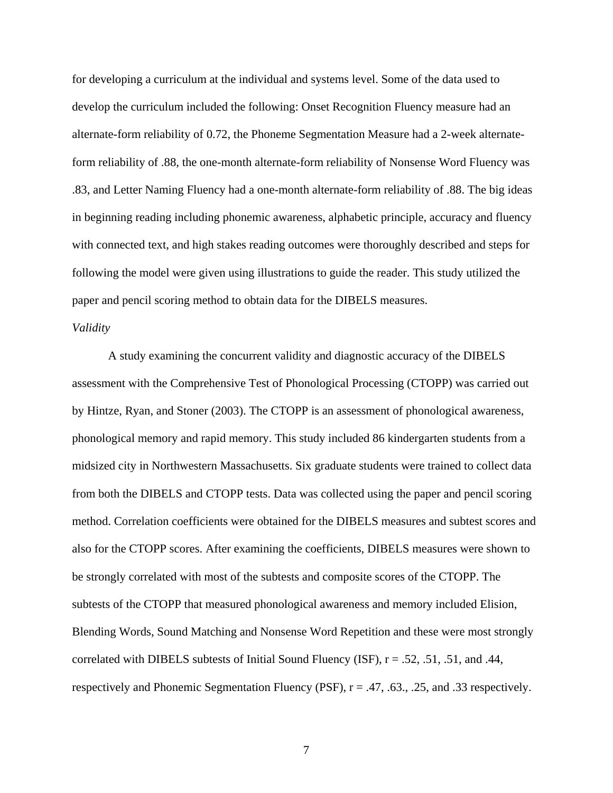for developing a curriculum at the individual and systems level. Some of the data used to develop the curriculum included the following: Onset Recognition Fluency measure had an alternate-form reliability of 0.72, the Phoneme Segmentation Measure had a 2-week alternateform reliability of .88, the one-month alternate-form reliability of Nonsense Word Fluency was .83, and Letter Naming Fluency had a one-month alternate-form reliability of .88. The big ideas in beginning reading including phonemic awareness, alphabetic principle, accuracy and fluency with connected text, and high stakes reading outcomes were thoroughly described and steps for following the model were given using illustrations to guide the reader. This study utilized the paper and pencil scoring method to obtain data for the DIBELS measures.

#### *Validity*

A study examining the concurrent validity and diagnostic accuracy of the DIBELS assessment with the Comprehensive Test of Phonological Processing (CTOPP) was carried out by Hintze, Ryan, and Stoner (2003). The CTOPP is an assessment of phonological awareness, phonological memory and rapid memory. This study included 86 kindergarten students from a midsized city in Northwestern Massachusetts. Six graduate students were trained to collect data from both the DIBELS and CTOPP tests. Data was collected using the paper and pencil scoring method. Correlation coefficients were obtained for the DIBELS measures and subtest scores and also for the CTOPP scores. After examining the coefficients, DIBELS measures were shown to be strongly correlated with most of the subtests and composite scores of the CTOPP. The subtests of the CTOPP that measured phonological awareness and memory included Elision, Blending Words, Sound Matching and Nonsense Word Repetition and these were most strongly correlated with DIBELS subtests of Initial Sound Fluency (ISF),  $r = .52, .51, .51,$  and .44, respectively and Phonemic Segmentation Fluency (PSF),  $r = .47, .63., .25,$  and .33 respectively.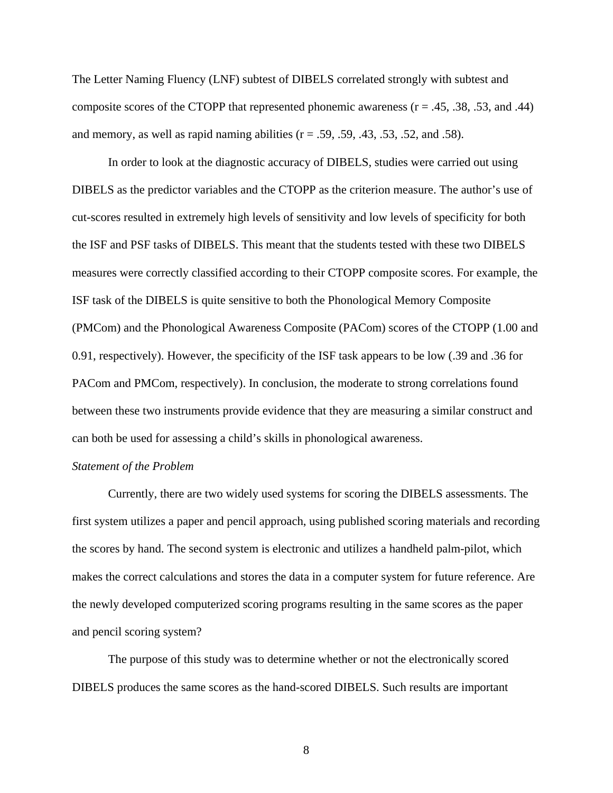The Letter Naming Fluency (LNF) subtest of DIBELS correlated strongly with subtest and composite scores of the CTOPP that represented phonemic awareness  $(r = .45, .38, .53,$  and .44) and memory, as well as rapid naming abilities  $(r = .59, .59, .43, .53, .52,$  and  $.58)$ .

In order to look at the diagnostic accuracy of DIBELS, studies were carried out using DIBELS as the predictor variables and the CTOPP as the criterion measure. The author's use of cut-scores resulted in extremely high levels of sensitivity and low levels of specificity for both the ISF and PSF tasks of DIBELS. This meant that the students tested with these two DIBELS measures were correctly classified according to their CTOPP composite scores. For example, the ISF task of the DIBELS is quite sensitive to both the Phonological Memory Composite (PMCom) and the Phonological Awareness Composite (PACom) scores of the CTOPP (1.00 and 0.91, respectively). However, the specificity of the ISF task appears to be low (.39 and .36 for PACom and PMCom, respectively). In conclusion, the moderate to strong correlations found between these two instruments provide evidence that they are measuring a similar construct and can both be used for assessing a child's skills in phonological awareness.

#### *Statement of the Problem*

 Currently, there are two widely used systems for scoring the DIBELS assessments. The first system utilizes a paper and pencil approach, using published scoring materials and recording the scores by hand. The second system is electronic and utilizes a handheld palm-pilot, which makes the correct calculations and stores the data in a computer system for future reference. Are the newly developed computerized scoring programs resulting in the same scores as the paper and pencil scoring system?

 The purpose of this study was to determine whether or not the electronically scored DIBELS produces the same scores as the hand-scored DIBELS. Such results are important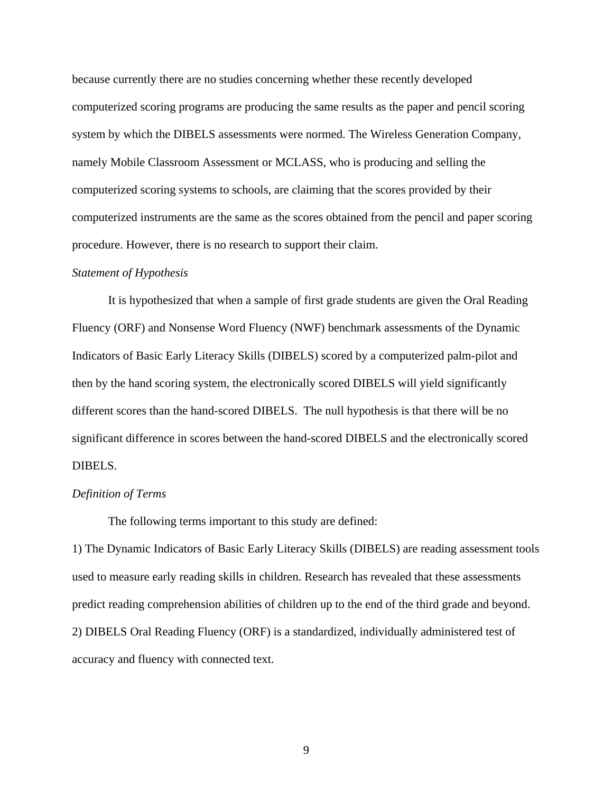because currently there are no studies concerning whether these recently developed computerized scoring programs are producing the same results as the paper and pencil scoring system by which the DIBELS assessments were normed. The Wireless Generation Company, namely Mobile Classroom Assessment or MCLASS, who is producing and selling the computerized scoring systems to schools, are claiming that the scores provided by their computerized instruments are the same as the scores obtained from the pencil and paper scoring procedure. However, there is no research to support their claim.

#### *Statement of Hypothesis*

It is hypothesized that when a sample of first grade students are given the Oral Reading Fluency (ORF) and Nonsense Word Fluency (NWF) benchmark assessments of the Dynamic Indicators of Basic Early Literacy Skills (DIBELS) scored by a computerized palm-pilot and then by the hand scoring system, the electronically scored DIBELS will yield significantly different scores than the hand-scored DIBELS. The null hypothesis is that there will be no significant difference in scores between the hand-scored DIBELS and the electronically scored DIBELS.

#### *Definition of Terms*

The following terms important to this study are defined:

1) The Dynamic Indicators of Basic Early Literacy Skills (DIBELS) are reading assessment tools used to measure early reading skills in children. Research has revealed that these assessments predict reading comprehension abilities of children up to the end of the third grade and beyond. 2) DIBELS Oral Reading Fluency (ORF) is a standardized, individually administered test of accuracy and fluency with connected text.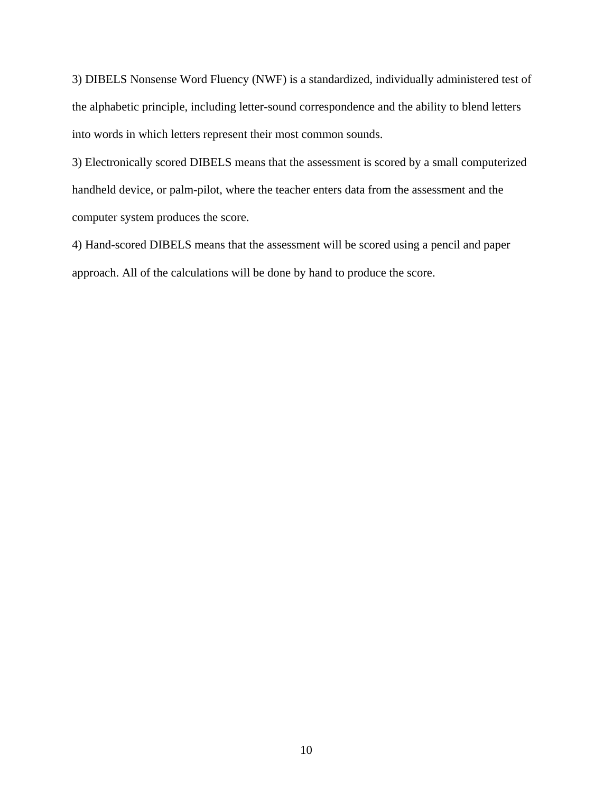3) DIBELS Nonsense Word Fluency (NWF) is a standardized, individually administered test of the alphabetic principle, including letter-sound correspondence and the ability to blend letters into words in which letters represent their most common sounds.

3) Electronically scored DIBELS means that the assessment is scored by a small computerized handheld device, or palm-pilot, where the teacher enters data from the assessment and the computer system produces the score.

4) Hand-scored DIBELS means that the assessment will be scored using a pencil and paper approach. All of the calculations will be done by hand to produce the score.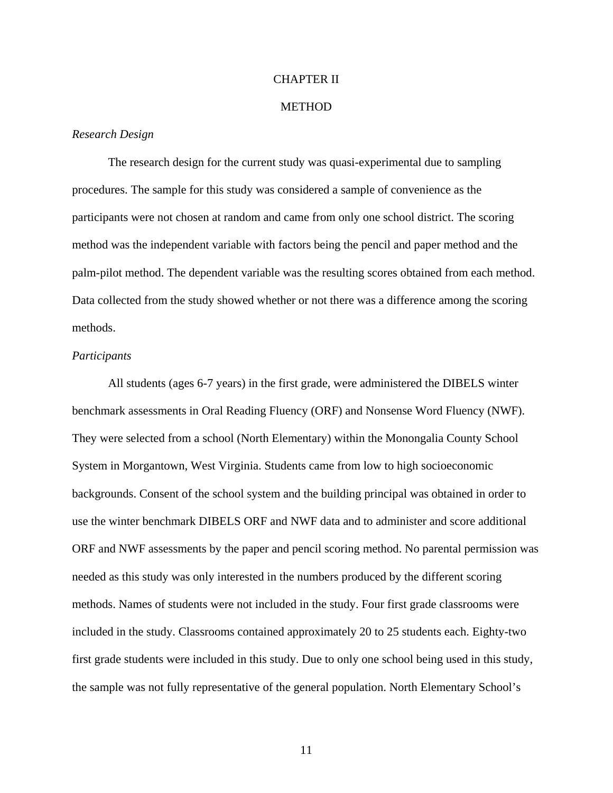#### CHAPTER II

#### **METHOD**

#### *Research Design*

 The research design for the current study was quasi-experimental due to sampling procedures. The sample for this study was considered a sample of convenience as the participants were not chosen at random and came from only one school district. The scoring method was the independent variable with factors being the pencil and paper method and the palm-pilot method. The dependent variable was the resulting scores obtained from each method. Data collected from the study showed whether or not there was a difference among the scoring methods.

#### *Participants*

All students (ages 6-7 years) in the first grade, were administered the DIBELS winter benchmark assessments in Oral Reading Fluency (ORF) and Nonsense Word Fluency (NWF). They were selected from a school (North Elementary) within the Monongalia County School System in Morgantown, West Virginia. Students came from low to high socioeconomic backgrounds. Consent of the school system and the building principal was obtained in order to use the winter benchmark DIBELS ORF and NWF data and to administer and score additional ORF and NWF assessments by the paper and pencil scoring method. No parental permission was needed as this study was only interested in the numbers produced by the different scoring methods. Names of students were not included in the study. Four first grade classrooms were included in the study. Classrooms contained approximately 20 to 25 students each. Eighty-two first grade students were included in this study. Due to only one school being used in this study, the sample was not fully representative of the general population. North Elementary School's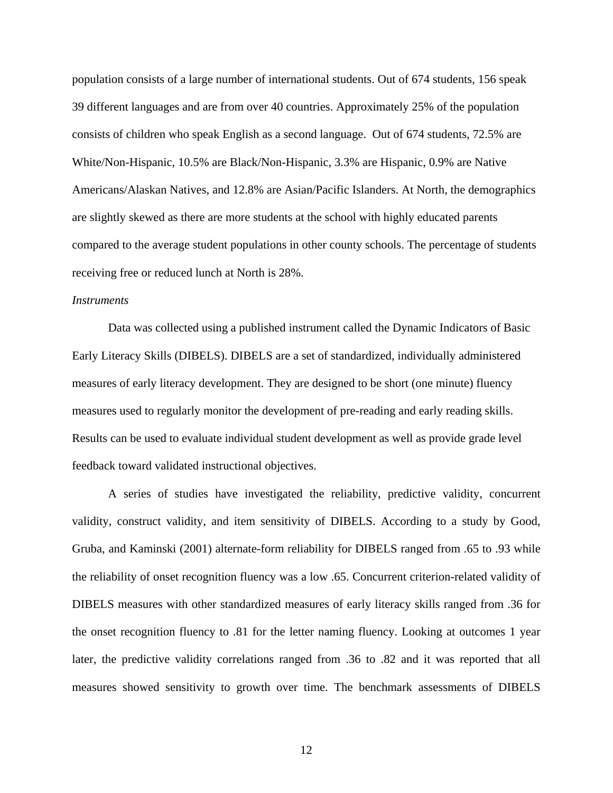population consists of a large number of international students. Out of 674 students, 156 speak 39 different languages and are from over 40 countries. Approximately 25% of the population consists of children who speak English as a second language. Out of 674 students, 72.5% are White/Non-Hispanic, 10.5% are Black/Non-Hispanic, 3.3% are Hispanic, 0.9% are Native Americans/Alaskan Natives, and 12.8% are Asian/Pacific Islanders. At North, the demographics are slightly skewed as there are more students at the school with highly educated parents compared to the average student populations in other county schools. The percentage of students receiving free or reduced lunch at North is 28%.

#### *Instruments*

Data was collected using a published instrument called the Dynamic Indicators of Basic Early Literacy Skills (DIBELS). DIBELS are a set of standardized, individually administered measures of early literacy development. They are designed to be short (one minute) fluency measures used to regularly monitor the development of pre-reading and early reading skills. Results can be used to evaluate individual student development as well as provide grade level feedback toward validated instructional objectives.

A series of studies have investigated the reliability, predictive validity, concurrent validity, construct validity, and item sensitivity of DIBELS. According to a study by Good, Gruba, and Kaminski (2001) alternate-form reliability for DIBELS ranged from .65 to .93 while the reliability of onset recognition fluency was a low .65. Concurrent criterion-related validity of DIBELS measures with other standardized measures of early literacy skills ranged from .36 for the onset recognition fluency to .81 for the letter naming fluency. Looking at outcomes 1 year later, the predictive validity correlations ranged from .36 to .82 and it was reported that all measures showed sensitivity to growth over time. The benchmark assessments of DIBELS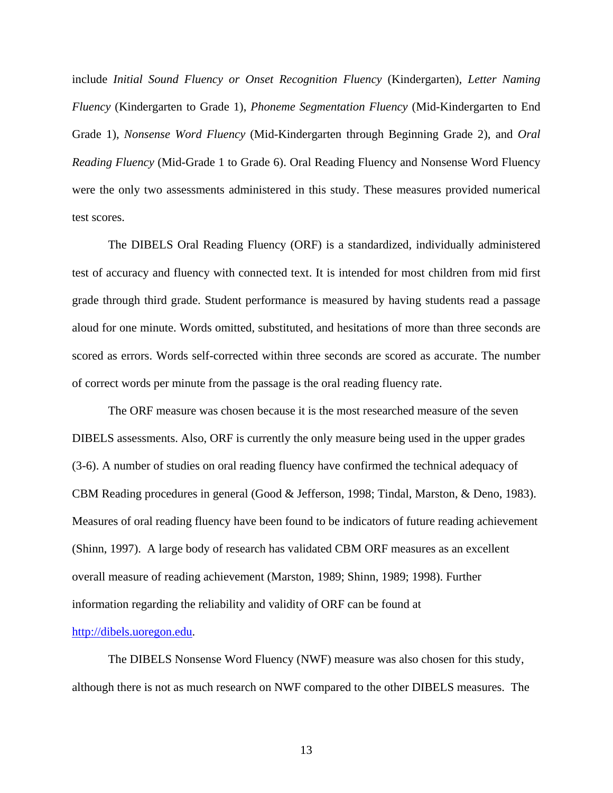include *Initial Sound Fluency or Onset Recognition Fluency* (Kindergarten), *Letter Naming Fluency* (Kindergarten to Grade 1), *Phoneme Segmentation Fluency* (Mid-Kindergarten to End Grade 1), *Nonsense Word Fluency* (Mid-Kindergarten through Beginning Grade 2), and *Oral Reading Fluency* (Mid-Grade 1 to Grade 6). Oral Reading Fluency and Nonsense Word Fluency were the only two assessments administered in this study. These measures provided numerical test scores.

The DIBELS Oral Reading Fluency (ORF) is a standardized, individually administered test of accuracy and fluency with connected text. It is intended for most children from mid first grade through third grade. Student performance is measured by having students read a passage aloud for one minute. Words omitted, substituted, and hesitations of more than three seconds are scored as errors. Words self-corrected within three seconds are scored as accurate. The number of correct words per minute from the passage is the oral reading fluency rate.

The ORF measure was chosen because it is the most researched measure of the seven DIBELS assessments. Also, ORF is currently the only measure being used in the upper grades (3-6). A number of studies on oral reading fluency have confirmed the technical adequacy of CBM Reading procedures in general (Good & Jefferson, 1998; Tindal, Marston, & Deno, 1983). Measures of oral reading fluency have been found to be indicators of future reading achievement (Shinn, 1997). A large body of research has validated CBM ORF measures as an excellent overall measure of reading achievement (Marston, 1989; Shinn, 1989; 1998). Further information regarding the reliability and validity of ORF can be found at

#### http://dibels.uoregon.edu.

The DIBELS Nonsense Word Fluency (NWF) measure was also chosen for this study, although there is not as much research on NWF compared to the other DIBELS measures. The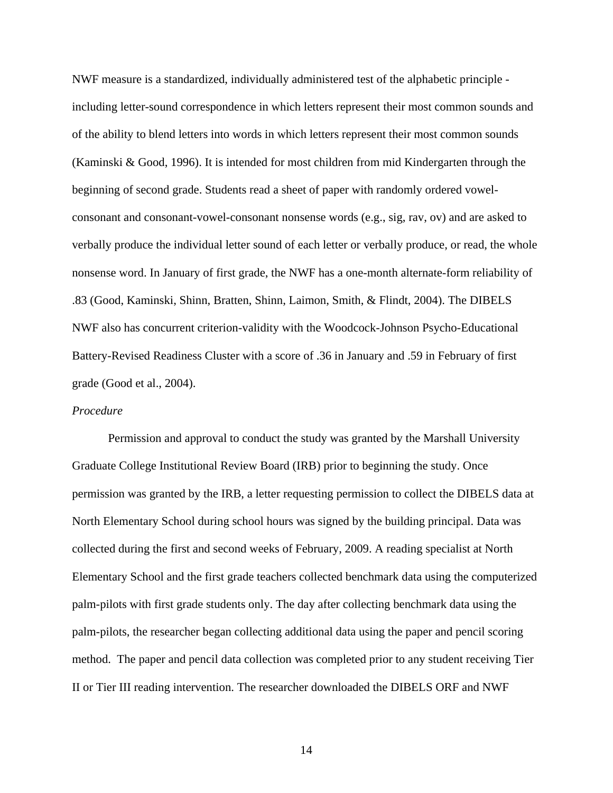NWF measure is a standardized, individually administered test of the alphabetic principle including letter-sound correspondence in which letters represent their most common sounds and of the ability to blend letters into words in which letters represent their most common sounds (Kaminski & Good, 1996). It is intended for most children from mid Kindergarten through the beginning of second grade. Students read a sheet of paper with randomly ordered vowelconsonant and consonant-vowel-consonant nonsense words (e.g., sig, rav, ov) and are asked to verbally produce the individual letter sound of each letter or verbally produce, or read, the whole nonsense word. In January of first grade, the NWF has a one-month alternate-form reliability of .83 (Good, Kaminski, Shinn, Bratten, Shinn, Laimon, Smith, & Flindt, 2004). The DIBELS NWF also has concurrent criterion-validity with the Woodcock-Johnson Psycho-Educational Battery-Revised Readiness Cluster with a score of .36 in January and .59 in February of first grade (Good et al., 2004).

#### *Procedure*

 Permission and approval to conduct the study was granted by the Marshall University Graduate College Institutional Review Board (IRB) prior to beginning the study. Once permission was granted by the IRB, a letter requesting permission to collect the DIBELS data at North Elementary School during school hours was signed by the building principal. Data was collected during the first and second weeks of February, 2009. A reading specialist at North Elementary School and the first grade teachers collected benchmark data using the computerized palm-pilots with first grade students only. The day after collecting benchmark data using the palm-pilots, the researcher began collecting additional data using the paper and pencil scoring method. The paper and pencil data collection was completed prior to any student receiving Tier II or Tier III reading intervention. The researcher downloaded the DIBELS ORF and NWF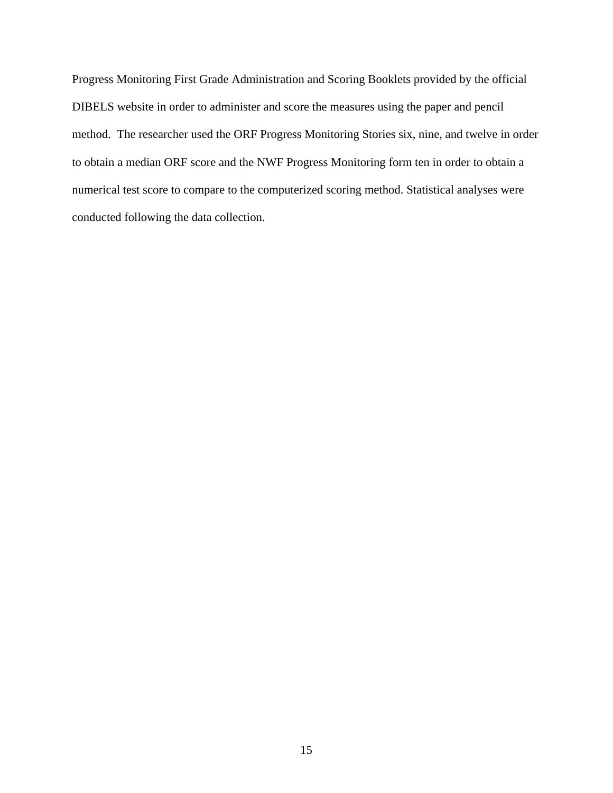Progress Monitoring First Grade Administration and Scoring Booklets provided by the official DIBELS website in order to administer and score the measures using the paper and pencil method. The researcher used the ORF Progress Monitoring Stories six, nine, and twelve in order to obtain a median ORF score and the NWF Progress Monitoring form ten in order to obtain a numerical test score to compare to the computerized scoring method. Statistical analyses were conducted following the data collection.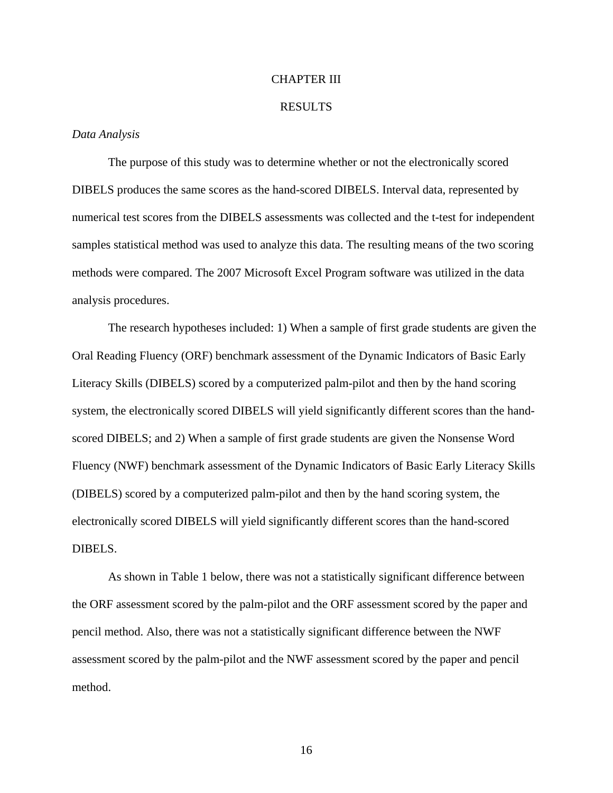#### CHAPTER III

#### RESULTS

#### *Data Analysis*

The purpose of this study was to determine whether or not the electronically scored DIBELS produces the same scores as the hand-scored DIBELS. Interval data, represented by numerical test scores from the DIBELS assessments was collected and the t-test for independent samples statistical method was used to analyze this data. The resulting means of the two scoring methods were compared. The 2007 Microsoft Excel Program software was utilized in the data analysis procedures.

The research hypotheses included: 1) When a sample of first grade students are given the Oral Reading Fluency (ORF) benchmark assessment of the Dynamic Indicators of Basic Early Literacy Skills (DIBELS) scored by a computerized palm-pilot and then by the hand scoring system, the electronically scored DIBELS will yield significantly different scores than the handscored DIBELS; and 2) When a sample of first grade students are given the Nonsense Word Fluency (NWF) benchmark assessment of the Dynamic Indicators of Basic Early Literacy Skills (DIBELS) scored by a computerized palm-pilot and then by the hand scoring system, the electronically scored DIBELS will yield significantly different scores than the hand-scored DIBELS.

As shown in Table 1 below, there was not a statistically significant difference between the ORF assessment scored by the palm-pilot and the ORF assessment scored by the paper and pencil method. Also, there was not a statistically significant difference between the NWF assessment scored by the palm-pilot and the NWF assessment scored by the paper and pencil method.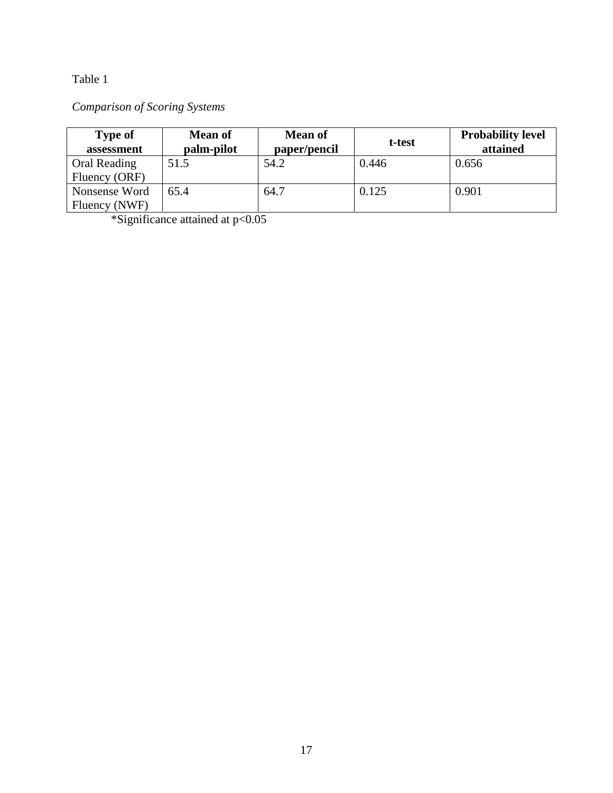### Table 1

## *Comparison of Scoring Systems*

| <b>Type of</b><br>assessment   | <b>Mean of</b><br>palm-pilot | <b>Mean of</b><br>paper/pencil | t-test | <b>Probability level</b><br>attained |
|--------------------------------|------------------------------|--------------------------------|--------|--------------------------------------|
| Oral Reading<br>Fluency (ORF)  | 51.5                         | 54.2                           | 0.446  | 0.656                                |
| Nonsense Word<br>Fluency (NWF) | 65.4                         | 64.7                           | 0.125  | 0.901                                |

\*Significance attained at p<0.05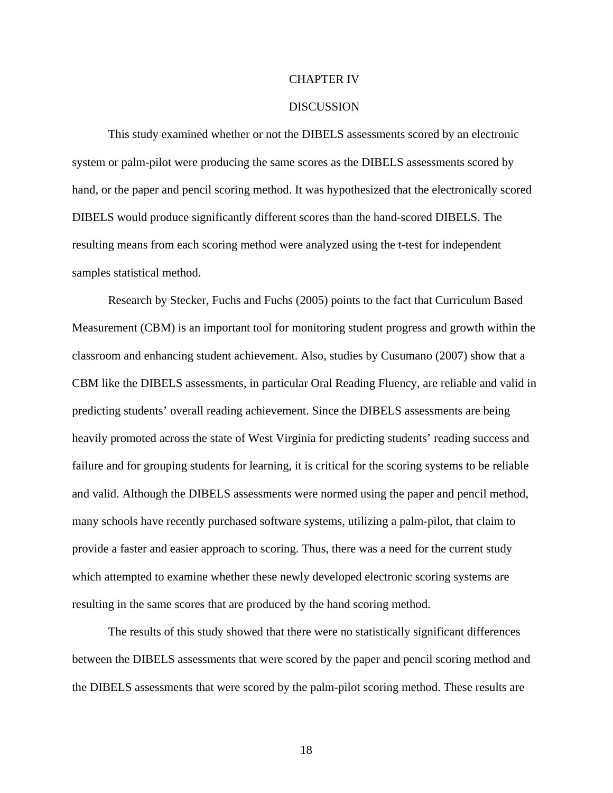#### CHAPTER IV

#### DISCUSSION

This study examined whether or not the DIBELS assessments scored by an electronic system or palm-pilot were producing the same scores as the DIBELS assessments scored by hand, or the paper and pencil scoring method. It was hypothesized that the electronically scored DIBELS would produce significantly different scores than the hand-scored DIBELS. The resulting means from each scoring method were analyzed using the t-test for independent samples statistical method.

 Research by Stecker, Fuchs and Fuchs (2005) points to the fact that Curriculum Based Measurement (CBM) is an important tool for monitoring student progress and growth within the classroom and enhancing student achievement. Also, studies by Cusumano (2007) show that a CBM like the DIBELS assessments, in particular Oral Reading Fluency, are reliable and valid in predicting students' overall reading achievement. Since the DIBELS assessments are being heavily promoted across the state of West Virginia for predicting students' reading success and failure and for grouping students for learning, it is critical for the scoring systems to be reliable and valid. Although the DIBELS assessments were normed using the paper and pencil method, many schools have recently purchased software systems, utilizing a palm-pilot, that claim to provide a faster and easier approach to scoring. Thus, there was a need for the current study which attempted to examine whether these newly developed electronic scoring systems are resulting in the same scores that are produced by the hand scoring method.

The results of this study showed that there were no statistically significant differences between the DIBELS assessments that were scored by the paper and pencil scoring method and the DIBELS assessments that were scored by the palm-pilot scoring method. These results are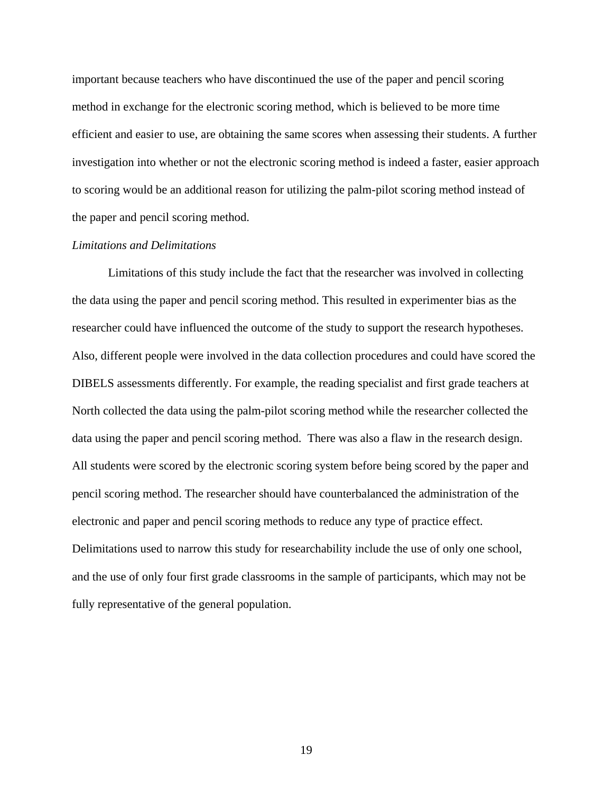important because teachers who have discontinued the use of the paper and pencil scoring method in exchange for the electronic scoring method, which is believed to be more time efficient and easier to use, are obtaining the same scores when assessing their students. A further investigation into whether or not the electronic scoring method is indeed a faster, easier approach to scoring would be an additional reason for utilizing the palm-pilot scoring method instead of the paper and pencil scoring method.

#### *Limitations and Delimitations*

Limitations of this study include the fact that the researcher was involved in collecting the data using the paper and pencil scoring method. This resulted in experimenter bias as the researcher could have influenced the outcome of the study to support the research hypotheses. Also, different people were involved in the data collection procedures and could have scored the DIBELS assessments differently. For example, the reading specialist and first grade teachers at North collected the data using the palm-pilot scoring method while the researcher collected the data using the paper and pencil scoring method. There was also a flaw in the research design. All students were scored by the electronic scoring system before being scored by the paper and pencil scoring method. The researcher should have counterbalanced the administration of the electronic and paper and pencil scoring methods to reduce any type of practice effect. Delimitations used to narrow this study for researchability include the use of only one school, and the use of only four first grade classrooms in the sample of participants, which may not be fully representative of the general population.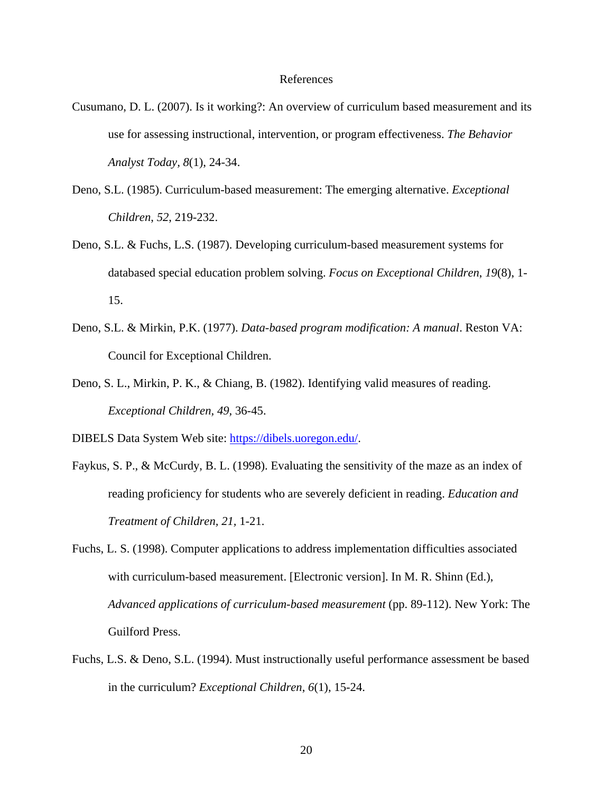#### References

- Cusumano, D. L. (2007). Is it working?: An overview of curriculum based measurement and its use for assessing instructional, intervention, or program effectiveness. *The Behavior Analyst Today, 8*(1), 24-34.
- Deno, S.L. (1985). Curriculum-based measurement: The emerging alternative. *Exceptional Children*, *52*, 219-232.
- Deno, S.L. & Fuchs, L.S. (1987). Developing curriculum-based measurement systems for databased special education problem solving. *Focus on Exceptional Children*, *19*(8), 1- 15.
- Deno, S.L. & Mirkin, P.K. (1977). *Data-based program modification: A manual*. Reston VA: Council for Exceptional Children.
- Deno, S. L., Mirkin, P. K., & Chiang, B. (1982). Identifying valid measures of reading. *Exceptional Children, 49,* 36-45.

DIBELS Data System Web site: https://dibels.uoregon.edu/.

- Faykus, S. P., & McCurdy, B. L. (1998). Evaluating the sensitivity of the maze as an index of reading proficiency for students who are severely deficient in reading. *Education and Treatment of Children, 21,* 1-21.
- Fuchs, L. S. (1998). Computer applications to address implementation difficulties associated with curriculum-based measurement. [Electronic version]. In M. R. Shinn (Ed.), *Advanced applications of curriculum-based measurement* (pp. 89-112). New York: The Guilford Press.
- Fuchs, L.S. & Deno, S.L. (1994). Must instructionally useful performance assessment be based in the curriculum? *Exceptional Children*, *6*(1), 15-24.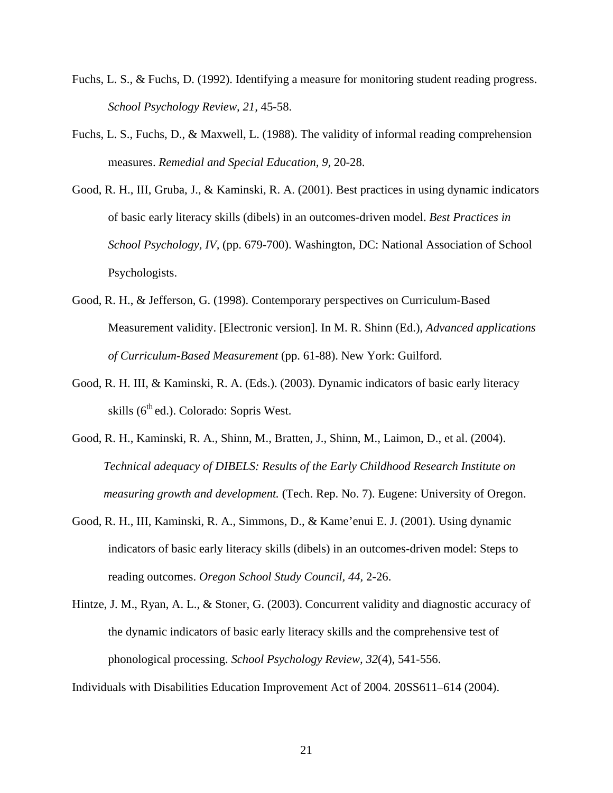- Fuchs, L. S., & Fuchs, D. (1992). Identifying a measure for monitoring student reading progress. *School Psychology Review, 21,* 45-58.
- Fuchs, L. S., Fuchs, D., & Maxwell, L. (1988). The validity of informal reading comprehension measures. *Remedial and Special Education, 9,* 20-28.
- Good, R. H., III, Gruba, J., & Kaminski, R. A. (2001). Best practices in using dynamic indicators of basic early literacy skills (dibels) in an outcomes-driven model. *Best Practices in School Psychology, IV,* (pp. 679-700). Washington, DC: National Association of School Psychologists.
- Good, R. H., & Jefferson, G. (1998). Contemporary perspectives on Curriculum-Based Measurement validity. [Electronic version]. In M. R. Shinn (Ed.), *Advanced applications of Curriculum-Based Measurement* (pp. 61-88). New York: Guilford.
- Good, R. H. III, & Kaminski, R. A. (Eds.). (2003). Dynamic indicators of basic early literacy skills  $(6<sup>th</sup>$ ed.). Colorado: Sopris West.
- Good, R. H., Kaminski, R. A., Shinn, M., Bratten, J., Shinn, M., Laimon, D., et al. (2004). *Technical adequacy of DIBELS: Results of the Early Childhood Research Institute on measuring growth and development.* (Tech. Rep. No. 7). Eugene: University of Oregon.
- Good, R. H., III, Kaminski, R. A., Simmons, D., & Kame'enui E. J. (2001). Using dynamic indicators of basic early literacy skills (dibels) in an outcomes-driven model: Steps to reading outcomes. *Oregon School Study Council, 44,* 2-26.
- Hintze, J. M., Ryan, A. L., & Stoner, G. (2003). Concurrent validity and diagnostic accuracy of the dynamic indicators of basic early literacy skills and the comprehensive test of phonological processing. *School Psychology Review, 32*(4), 541-556.

Individuals with Disabilities Education Improvement Act of 2004. 20SS611–614 (2004).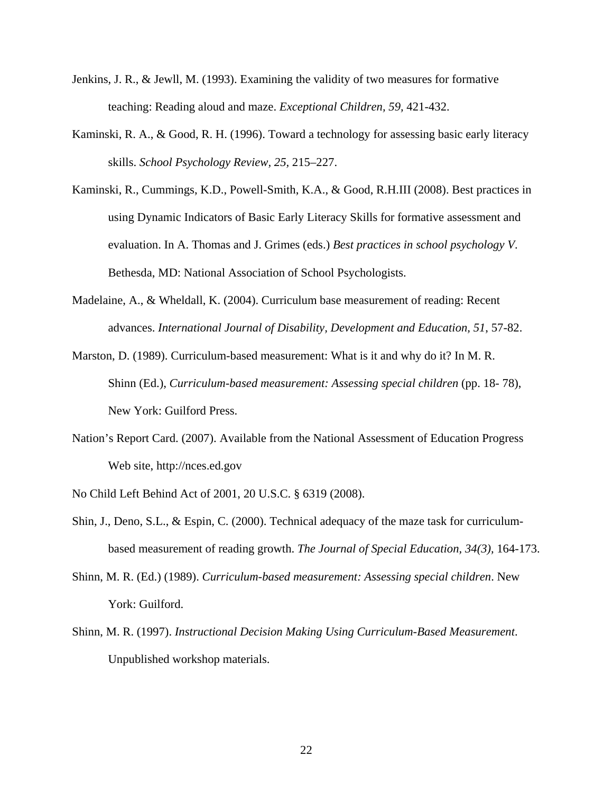- Jenkins, J. R., & Jewll, M. (1993). Examining the validity of two measures for formative teaching: Reading aloud and maze. *Exceptional Children, 59,* 421-432.
- Kaminski, R. A., & Good, R. H. (1996). Toward a technology for assessing basic early literacy skills. *School Psychology Review, 25,* 215–227.
- Kaminski, R., Cummings, K.D., Powell-Smith, K.A., & Good, R.H.III (2008). Best practices in using Dynamic Indicators of Basic Early Literacy Skills for formative assessment and evaluation. In A. Thomas and J. Grimes (eds.) *Best practices in school psychology V*. Bethesda, MD: National Association of School Psychologists.
- Madelaine, A., & Wheldall, K. (2004). Curriculum base measurement of reading: Recent advances. *International Journal of Disability, Development and Education, 51*, 57-82.
- Marston, D. (1989). Curriculum-based measurement: What is it and why do it? In M. R. Shinn (Ed.), *Curriculum-based measurement: Assessing special children* (pp. 18-78), New York: Guilford Press.
- Nation's Report Card. (2007). Available from the National Assessment of Education Progress Web site, http://nces.ed.gov

No Child Left Behind Act of 2001, 20 U.S.C. § 6319 (2008).

- Shin, J., Deno, S.L., & Espin, C. (2000). Technical adequacy of the maze task for curriculumbased measurement of reading growth. *The Journal of Special Education, 34(3),* 164-173.
- Shinn, M. R. (Ed.) (1989). *Curriculum-based measurement: Assessing special children*. New York: Guilford.
- Shinn, M. R. (1997). *Instructional Decision Making Using Curriculum-Based Measurement*. Unpublished workshop materials.